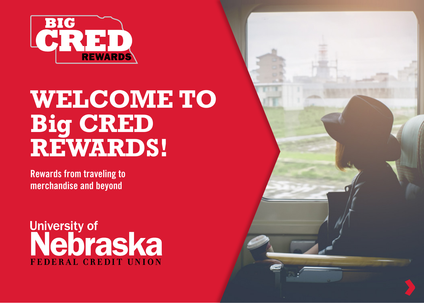

# **WELCOME TO Big CRED REWARDS!**

**Rewards from traveling to merchandise and beyond**

University of<br>Nebraska FEDERAL CREDIT UNION

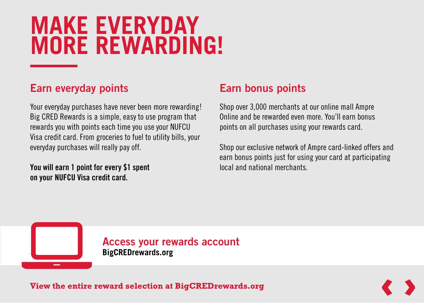# **MAKE EVERYDAY MORE REWARDING!**

### **Earn everyday points**

Your everyday purchases have never been more rewarding! Big CRED Rewards is a simple, easy to use program that rewards you with points each time you use your NUFCU Visa credit card. From groceries to fuel to utility bills, your everyday purchases will really pay off.

**You will earn 1 point for every \$1 spent on your NUFCU Visa credit card.**

### **Earn bonus points**

Shop over 3,000 merchants at our online mall Ampre Online and be rewarded even more. You'll earn bonus points on all purchases using your rewards card.

Shop our exclusive network of Ampre card-linked offers and earn bonus points just for using your card at participating local and national merchants.

**Access your rewards account BigCREDrewards.org**

View the entire reward selection at BigCREDrewards.org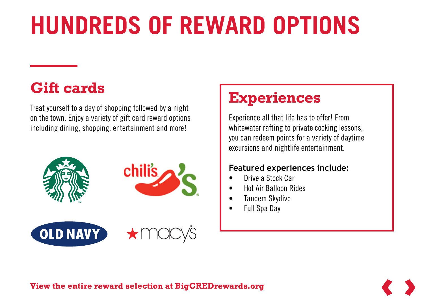# **HUNDREDS OF REWARD OPTIONS**

## **Gift cards**

Treat yourself to a day of shopping followed by a night on the town. Enjoy a variety of gift card reward options including dining, shopping, entertainment and more!



### **Experiences**

Experience all that life has to offer! From whitewater rafting to private cooking lessons, you can redeem points for a variety of daytime excursions and nightlife entertainment.

### **Featured experiences include:**

- Drive a Stock Car
- Hot Air Balloon Rides
- Tandem Skydive
- Full Spa Day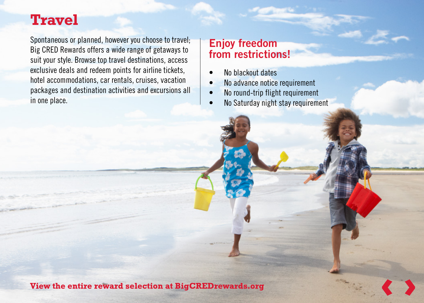### **Travel**

Spontaneous or planned, however you choose to travel; Big CRED Rewards offers a wide range of getaways to suit your style. Browse top travel destinations, access exclusive deals and redeem points for airline tickets, hotel accommodations, car rentals, cruises, vacation packages and destination activities and excursions all in one place.

### **Enjoy freedom from restrictions!**

- No blackout dates
- No advance notice requirement
- No round-trip flight requirement
- No Saturday night stay requirement

View the entire reward selection at BigCREDrewards.org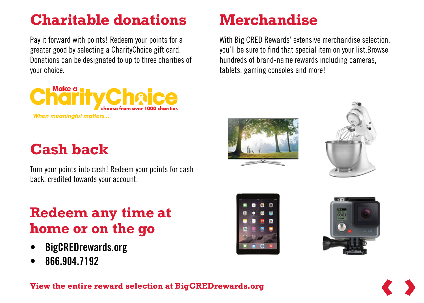## **Charitable donations**

Pay it forward with points! Redeem your points for a greater good by selecting a CharityChoice gift card. Donations can be designated to up to three charities of your choice.



## **Cash back**

Turn your points into cash! Redeem your points for cash back, credited towards your account.

### **Redeem any time at home or on the go**

- **• BigCREDrewards.org**
- **• 866.904.7192**

## **Merchandise**

With Big CRED Rewards' extensive merchandise selection, you'll be sure to find that special item on your list.Browse hundreds of brand-name rewards including cameras, tablets, gaming consoles and more!







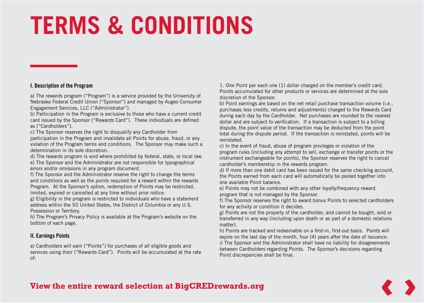# **TERMS & CONDITIONS**

### **I. Description of the Program**

a) The rewards program ("Program") is a service provided by the University of Nebraska Federal Credit Union ("Sponsor") and managed by Augeo Consumer Engagement Services, LLC ("Administrator").

b) Participation in the Program is exclusive to those who have a current credit card issued by the Sponsor ("Rewards Card"). These individuals are defined as ("Cardholders").

c) The Sponsor reserves the right to disqualify any Cardholder from

participation in the Program and invalidate all Points for abuse, fraud, or any violation of the Program terms and conditions. The Sponsor may make such a determination in its sole discretion.

d) The rewards program is void where prohibited by federal, state, or local law. e) The Sponsor and the Administrator are not responsible for typographical errors and/or omissions in any program document.

f) The Sponsor and the Administrator reserve the right to change the terms and conditions as well as the points required for a reward within the rewards Program. At the Sponsor's option, redemption of Points may be restricted, limited, expired or cancelled at any time without prior notice.

g) Eligibility in the program is restricted to individuals who have a statement address within the 50 United States, the District of Columbia or any U.S. Possession or Territory.

h) The Program's Privacy Policy is available at the Program's website on the bottom of each page.

#### **II. Earnings Points**

a) Cardholders will earn ("Points") for purchases of all eligible goods and services using their ("Rewards Card"). Points will be accumulated at the rate of:

1. One Point per each one (1) dollar charged on the member's credit card. Points accumulated for other products or services are determined at the sole discretion of the Sponsor.

b) Point earnings are based on the net retail purchase transaction volume (i.e., purchases less credits, returns and adjustments) charged to the Rewards Card during each day by the Cardholder. Net purchases are rounded to the nearest dollar and are subject to verification. If a transaction is subject to a billing dispute, the point value of the transaction may be deducted from the point total during the dispute period. If the transaction is reinstated, points will be reinstated.

c) In the event of fraud, abuse of program privileges or violation of the program rules (including any attempt to sell, exchange or transfer points or the instrument exchangeable for points), the Sponsor reserves the right to cancel cardholder's membership in the rewards program.

d) If more than one debit card has been issued for the same checking account, the Points earned from each card will automatically be pooled together into one available Point balance.

e) Points may not be combined with any other loyalty/frequency reward program that is not managed by the Sponsor.

f) The Sponsor reserves the right to award bonus Points to selected cardholders for any activity or condition it decides.

g) Points are not the property of the cardholder, and cannot be bought, sold or transferred in any way (including upon death or as part of a domestic relations matter).

h) Points are tracked and redeemable on a first-in, first-out basis. Points will expire on the last day of the month, four (4) years after the date of issuance. i) The Sponsor and the Administrator shall have no liability for disagreements between Cardholders regarding Points. The Sponsor's decisions regarding Point discrepancies shall be final.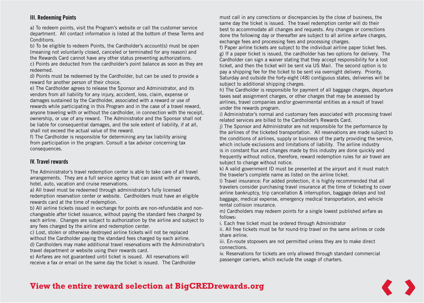### **III. Redeeming Points**

a) To redeem points, visit the Program's website or call the customer service department. All contact information is listed at the bottom of these Terms and Conditions.

b) To be eligible to redeem Points, the Cardholder's account(s) must be open (meaning not voluntarily closed, canceled or terminated for any reason) and the Rewards Card cannot have any other status preventing authorizations. c) Points are deducted from the cardholder's point balance as soon as they are redeemed.

d) Points must be redeemed by the Cardholder, but can be used to provide a reward for another person of their choice.

e) The Cardholder agrees to release the Sponsor and Administrator, and its vendors from all liability for any injury, accident, loss, claim, expense or damages sustained by the Cardholder, associated with a reward or use of rewards while participating in this Program and in the case of a travel reward, anyone traveling with or without the cardholder, in connection with the receipt, ownership, or use of any reward. The Administrator and the Sponsor shall not be liable for consequential damages, and the sole extent of liability, if at all, shall not exceed the actual value of the reward.

f) The Cardholder is responsible for determining any tax liability arising from participation in the program. Consult a tax advisor concerning tax consequences.

#### **IV. Travel rewards**

The Administrator's travel redemption center is able to take care of all travel arrangements. They are a full service agency that can assist with air rewards, hotel, auto, vacation and cruise reservations.

a) All travel must be redeemed through administrator's fully licensed redemption reservation center or website. Cardholders must have an eligible rewards card at the time of redemption.

b) All airline tickets issued in exchange for points are non-refundable and nonchangeable after ticket issuance, without paying the standard fees charged by each airline. Changes are subject to authorization by the airline and subject to any fees charged by the airline and redemption center.

c) Lost, stolen or otherwise destroyed airline tickets will not be replaced without the Cardholder paying the standard fees charged by each airline. d) Cardholders may make additional travel reservations with the Administrator's travel department or website using their rewards card.

e) Airfares are not guaranteed until ticket is issued. All reservations will receive a fax or email on the same day the ticket is issued. The Cardholder must call in any corrections or discrepancies by the close of business, the same day the ticket is issued. The travel redemption center will do their best to accommodate all changes and requests. Any changes or corrections done the following day or thereafter are subject to all airline airfare charges, exchange fees and processing fees and processing charges.

f) Paper airline tickets are subject to the individual airline paper ticket fees. g) If a paper ticket is issued, the cardholder has two options for delivery. The Cardholder can sign a waiver stating that they accept responsibility for a lost ticket, and then the ticket will be sent via US Mail. The second option is to pay a shipping fee for the ticket to be sent via overnight delivery. Priority, Saturday and outside the forty-eight (48) contiguous states, deliveries will be subject to additional shipping charges.

h) The Cardholder is responsible for payment of all baggage charges, departure taxes seat assignment charges, or other charges that may be assessed by airlines, travel companies and/or governmental entities as a result of travel under the rewards program.

i) Administrator's normal and customary fees associated with processing travel related services are billed to the Cardholder's Rewards Card.

j) The Sponsor and Administrator are not responsible for the performance by the airlines of the ticketed transportation. All reservations are made subject to the conditions of airlines, supply or business of the party providing the service, which include exclusions and limitations of liability. The airline industry is in constant flux and changes made by this industry are done quickly and frequently without notice, therefore, reward redemption rules for air travel are subject to change without notice.

k) A valid government ID must be presented at the airport and it must match the traveler's complete name as listed on the airline ticket.

l) Travel insurance: For added protection, it is highly recommended that all travelers consider purchasing travel insurance at the time of ticketing to cover airline bankruptcy, trip cancellation & interruption, baggage delays and lost baggage, medical expense, emergency medical transportation, and vehicle rental collision insurance.

m) Cardholders may redeem points for a single lowest published airfare as follows:

i. Each free ticket must be ordered through Administrator

ii. All free tickets must be for round-trip travel on the same airlines or code share airline.

iii. En-route stopovers are not permitted unless they are to make direct connections.

iv. Reservations for tickets are only allowed through standard commercial passenger carriers, which exclude the usage of charters.

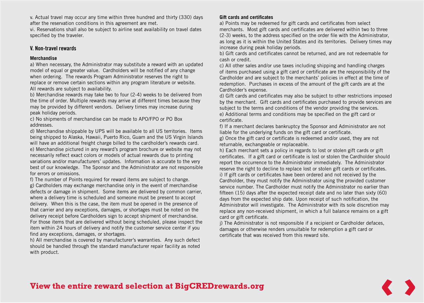v. Actual travel may occur any time within three hundred and thirty (330) days after the reservation conditions in this agreement are met.

vi. Reservations shall also be subject to airline seat availability on travel dates specified by the traveler.

#### **V. Non-travel rewards**

#### **Merchandise**

a) When necessary, the Administrator may substitute a reward with an updated model of equal or greater value. Cardholders will be notified of any change when ordering. The rewards Program Administrator reserves the right to replace or remove certain sections within any program literature or website. All rewards are subject to availability.

b) Merchandise rewards may take two to four (2-4) weeks to be delivered from the time of order. Multiple rewards may arrive at different times because they may be provided by different vendors. Delivery times may increase during peak holiday periods.

c) No shipments of merchandise can be made to APO/FPO or PO Box addresses.

d) Merchandise shippable by UPS will be available to all US territories. Items being shipped to Alaska, Hawaii, Puerto Rico, Guam and the US Virgin Islands will have an additional freight charge billed to the cardholder's rewards card. e) Merchandise pictured in any reward's program brochure or website may not necessarily reflect exact colors or models of actual rewards due to printing variations and/or manufacturers' updates. Information is accurate to the very best of our knowledge. The Sponsor and the Administrator are not responsible for errors or omissions.

f) The number of Points required for reward items are subject to change.

g) Cardholders may exchange merchandise only in the event of merchandise defects or damage in shipment. Some items are delivered by common carrier, where a delivery time is scheduled and someone must be present to accept delivery. When this is the case, the item must be opened in the presence of that carrier and any exceptions, damages, or shortages must be noted on the delivery receipt before Cardholders sign to accept shipment of merchandise. For those items that are delivered without being scheduled, please inspect the item within 24 hours of delivery and notify the customer service center if you find any exceptions, damages, or shortages.

h) All merchandise is covered by manufacturer's warranties. Any such defect should be handled through the standard manufacturer repair facility as noted with product.

#### **Gift cards and certificates**

a) Points may be redeemed for gift cards and certificates from select merchants. Most gift cards and certificates are delivered within two to three (2-3) weeks, to the address specified on the order file with the Administrator, as long as it is within the United States and its territories. Delivery times may increase during peak holiday periods.

b) Gift cards and certificates cannot be returned, and are not redeemable for cash or credit.

c) All other sales and/or use taxes including shipping and handling charges of items purchased using a gift card or certificate are the responsibility of the Cardholder and are subject to the merchants' policies in effect at the time of redemption. Purchases in excess of the amount of the gift cards are at the Cardholder's expense.

d) Gift cards and certificates may also be subject to other restrictions imposed by the merchant. Gift cards and certificates purchased to provide services are subject to the terms and conditions of the vendor providing the services. e) Additional terms and conditions may be specified on the gift card or certificate.

f) If a merchant declares bankruptcy the Sponsor and Administrator are not liable for the underlying funds on the gift card or certificate.

g) Once the gift card or certificate is redeemed and/or used, they are not returnable, exchangeable or replaceable.

h) Each merchant sets a policy in regards to lost or stolen gift cards or gift certificates. If a gift card or certificate is lost or stolen the Cardholder should report the occurrence to the Administrator immediately. The Administrator reserve the right to decline to replace lost or stolen gift cards or certificates. i) If gift cards or certificates have been ordered and not received by the Cardholder, they must notify the Administrator using the provided customer service number. The Cardholder must notify the Administrator no earlier than fifteen (15) days after the expected receipt date and no later than sixty (60) days from the expected ship date. Upon receipt of such notification, the Administrator will investigate. The Administrator with its sole discretion may replace any non-received shipment, in which a full balance remains on a gift card or gift certificate.

j) The Administrator is not responsible if a recipient or Cardholder defaces, damages or otherwise renders unsuitable for redemption a gift card or certificate that was received from this reward site.